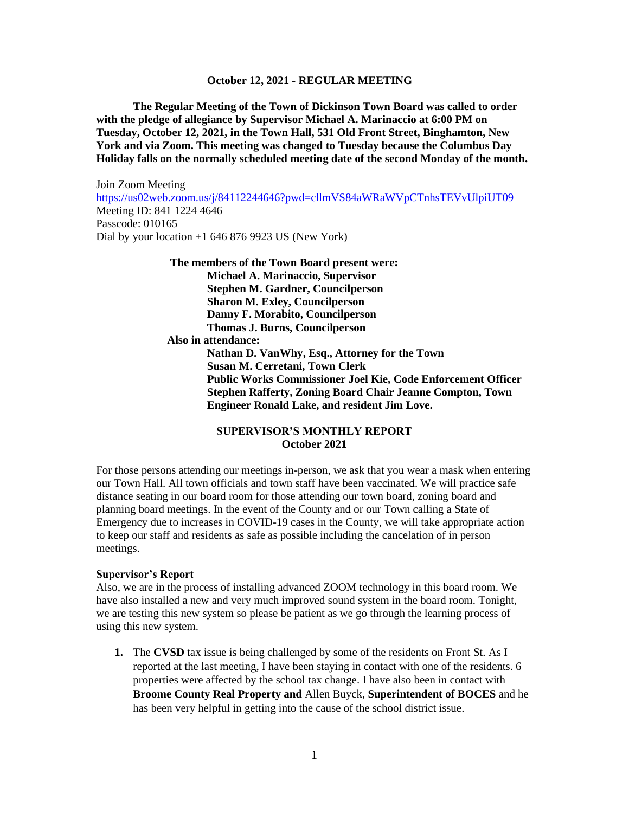**The Regular Meeting of the Town of Dickinson Town Board was called to order with the pledge of allegiance by Supervisor Michael A. Marinaccio at 6:00 PM on Tuesday, October 12, 2021, in the Town Hall, 531 Old Front Street, Binghamton, New York and via Zoom. This meeting was changed to Tuesday because the Columbus Day Holiday falls on the normally scheduled meeting date of the second Monday of the month.**

Join Zoom Meeting <https://us02web.zoom.us/j/84112244646?pwd=cllmVS84aWRaWVpCTnhsTEVvUlpiUT09> Meeting ID: 841 1224 4646 Passcode: 010165 Dial by your location +1 646 876 9923 US (New York)

> **The members of the Town Board present were: Michael A. Marinaccio, Supervisor Stephen M. Gardner, Councilperson Sharon M. Exley, Councilperson Danny F. Morabito, Councilperson Thomas J. Burns, Councilperson**

 **Also in attendance:**

**Nathan D. VanWhy, Esq., Attorney for the Town Susan M. Cerretani, Town Clerk Public Works Commissioner Joel Kie, Code Enforcement Officer Stephen Rafferty, Zoning Board Chair Jeanne Compton, Town Engineer Ronald Lake, and resident Jim Love.**

# **SUPERVISOR'S MONTHLY REPORT October 2021**

For those persons attending our meetings in-person, we ask that you wear a mask when entering our Town Hall. All town officials and town staff have been vaccinated. We will practice safe distance seating in our board room for those attending our town board, zoning board and planning board meetings. In the event of the County and or our Town calling a State of Emergency due to increases in COVID-19 cases in the County, we will take appropriate action to keep our staff and residents as safe as possible including the cancelation of in person meetings.

#### **Supervisor's Report**

Also, we are in the process of installing advanced ZOOM technology in this board room. We have also installed a new and very much improved sound system in the board room. Tonight, we are testing this new system so please be patient as we go through the learning process of using this new system.

**1.** The **CVSD** tax issue is being challenged by some of the residents on Front St. As I reported at the last meeting, I have been staying in contact with one of the residents. 6 properties were affected by the school tax change. I have also been in contact with **Broome County Real Property and** Allen Buyck, **Superintendent of BOCES** and he has been very helpful in getting into the cause of the school district issue.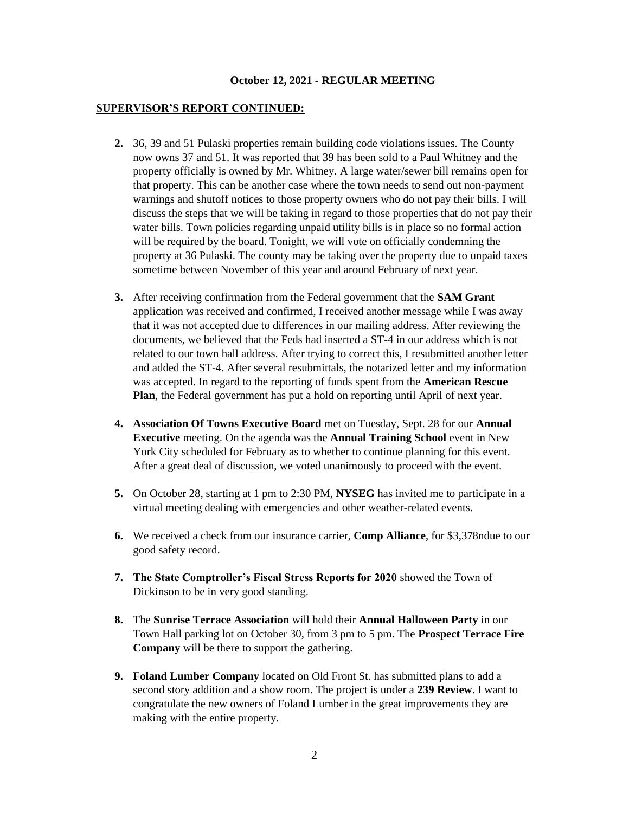## **SUPERVISOR'S REPORT CONTINUED:**

- **2.** 36, 39 and 51 Pulaski properties remain building code violations issues. The County now owns 37 and 51. It was reported that 39 has been sold to a Paul Whitney and the property officially is owned by Mr. Whitney. A large water/sewer bill remains open for that property. This can be another case where the town needs to send out non-payment warnings and shutoff notices to those property owners who do not pay their bills. I will discuss the steps that we will be taking in regard to those properties that do not pay their water bills. Town policies regarding unpaid utility bills is in place so no formal action will be required by the board. Tonight, we will vote on officially condemning the property at 36 Pulaski. The county may be taking over the property due to unpaid taxes sometime between November of this year and around February of next year.
- **3.** After receiving confirmation from the Federal government that the **SAM Grant** application was received and confirmed, I received another message while I was away that it was not accepted due to differences in our mailing address. After reviewing the documents, we believed that the Feds had inserted a ST-4 in our address which is not related to our town hall address. After trying to correct this, I resubmitted another letter and added the ST-4. After several resubmittals, the notarized letter and my information was accepted. In regard to the reporting of funds spent from the **American Rescue Plan**, the Federal government has put a hold on reporting until April of next year.
- **4. Association Of Towns Executive Board** met on Tuesday, Sept. 28 for our **Annual Executive** meeting. On the agenda was the **Annual Training School** event in New York City scheduled for February as to whether to continue planning for this event. After a great deal of discussion, we voted unanimously to proceed with the event.
- **5.** On October 28, starting at 1 pm to 2:30 PM, **NYSEG** has invited me to participate in a virtual meeting dealing with emergencies and other weather-related events.
- **6.** We received a check from our insurance carrier, **Comp Alliance**, for \$3,378ndue to our good safety record.
- **7. The State Comptroller's Fiscal Stress Reports for 2020** showed the Town of Dickinson to be in very good standing.
- **8.** The **Sunrise Terrace Association** will hold their **Annual Halloween Party** in our Town Hall parking lot on October 30, from 3 pm to 5 pm. The **Prospect Terrace Fire Company** will be there to support the gathering.
- **9. Foland Lumber Company** located on Old Front St. has submitted plans to add a second story addition and a show room. The project is under a **239 Review**. I want to congratulate the new owners of Foland Lumber in the great improvements they are making with the entire property.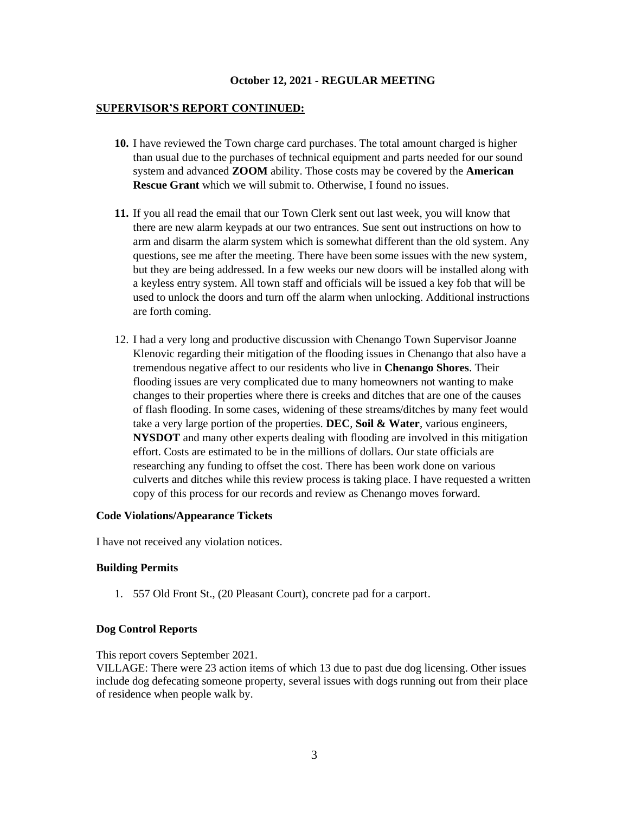### **SUPERVISOR'S REPORT CONTINUED:**

- **10.** I have reviewed the Town charge card purchases. The total amount charged is higher than usual due to the purchases of technical equipment and parts needed for our sound system and advanced **ZOOM** ability. Those costs may be covered by the **American Rescue Grant** which we will submit to. Otherwise, I found no issues.
- **11.** If you all read the email that our Town Clerk sent out last week, you will know that there are new alarm keypads at our two entrances. Sue sent out instructions on how to arm and disarm the alarm system which is somewhat different than the old system. Any questions, see me after the meeting. There have been some issues with the new system, but they are being addressed. In a few weeks our new doors will be installed along with a keyless entry system. All town staff and officials will be issued a key fob that will be used to unlock the doors and turn off the alarm when unlocking. Additional instructions are forth coming.
- 12. I had a very long and productive discussion with Chenango Town Supervisor Joanne Klenovic regarding their mitigation of the flooding issues in Chenango that also have a tremendous negative affect to our residents who live in **Chenango Shores**. Their flooding issues are very complicated due to many homeowners not wanting to make changes to their properties where there is creeks and ditches that are one of the causes of flash flooding. In some cases, widening of these streams/ditches by many feet would take a very large portion of the properties. **DEC**, **Soil & Water**, various engineers, **NYSDOT** and many other experts dealing with flooding are involved in this mitigation effort. Costs are estimated to be in the millions of dollars. Our state officials are researching any funding to offset the cost. There has been work done on various culverts and ditches while this review process is taking place. I have requested a written copy of this process for our records and review as Chenango moves forward.

### **Code Violations/Appearance Tickets**

I have not received any violation notices.

# **Building Permits**

1. 557 Old Front St., (20 Pleasant Court), concrete pad for a carport.

## **Dog Control Reports**

This report covers September 2021.

VILLAGE: There were 23 action items of which 13 due to past due dog licensing. Other issues include dog defecating someone property, several issues with dogs running out from their place of residence when people walk by.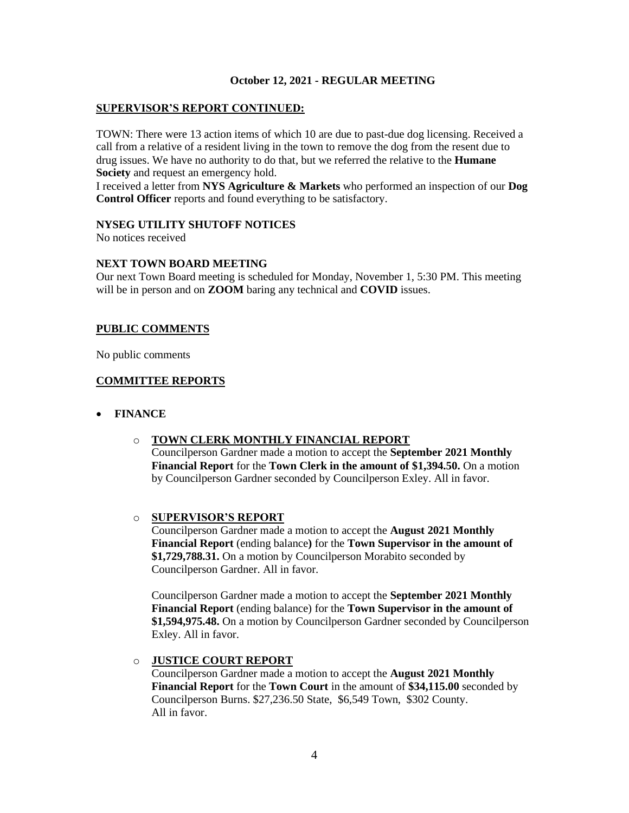# **SUPERVISOR'S REPORT CONTINUED:**

TOWN: There were 13 action items of which 10 are due to past-due dog licensing. Received a call from a relative of a resident living in the town to remove the dog from the resent due to drug issues. We have no authority to do that, but we referred the relative to the **Humane Society** and request an emergency hold.

I received a letter from **NYS Agriculture & Markets** who performed an inspection of our **Dog Control Officer** reports and found everything to be satisfactory.

### **NYSEG UTILITY SHUTOFF NOTICES**

No notices received

# **NEXT TOWN BOARD MEETING**

Our next Town Board meeting is scheduled for Monday, November 1, 5:30 PM. This meeting will be in person and on **ZOOM** baring any technical and **COVID** issues.

# **PUBLIC COMMENTS**

No public comments

# **COMMITTEE REPORTS**

• **FINANCE**

# o **TOWN CLERK MONTHLY FINANCIAL REPORT**

Councilperson Gardner made a motion to accept the **September 2021 Monthly Financial Report** for the **Town Clerk in the amount of \$1,394.50.** On a motion by Councilperson Gardner seconded by Councilperson Exley. All in favor.

### o **SUPERVISOR'S REPORT**

Councilperson Gardner made a motion to accept the **August 2021 Monthly Financial Report** (ending balance**)** for the **Town Supervisor in the amount of \$1,729,788.31.** On a motion by Councilperson Morabito seconded by Councilperson Gardner. All in favor.

Councilperson Gardner made a motion to accept the **September 2021 Monthly Financial Report** (ending balance) for the **Town Supervisor in the amount of \$1,594,975.48.** On a motion by Councilperson Gardner seconded by Councilperson Exley. All in favor.

# o **JUSTICE COURT REPORT**

Councilperson Gardner made a motion to accept the **August 2021 Monthly Financial Report** for the **Town Court** in the amount of **\$34,115.00** seconded by Councilperson Burns. \$27,236.50 State, \$6,549 Town, \$302 County. All in favor.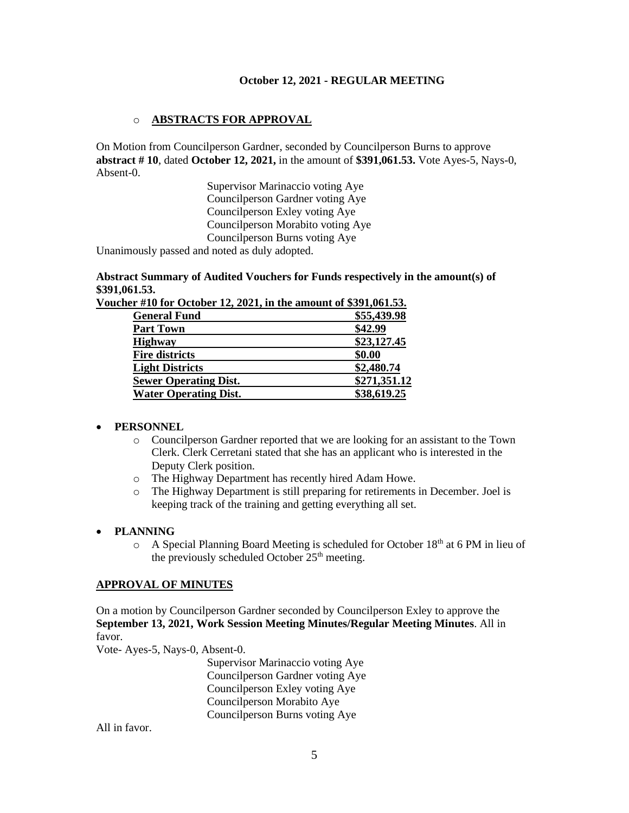# o **ABSTRACTS FOR APPROVAL**

On Motion from Councilperson Gardner, seconded by Councilperson Burns to approve **abstract # 10**, dated **October 12, 2021,** in the amount of **\$391,061.53.** Vote Ayes-5, Nays-0, Absent-0.

> Supervisor Marinaccio voting Aye Councilperson Gardner voting Aye Councilperson Exley voting Aye Councilperson Morabito voting Aye Councilperson Burns voting Aye

Unanimously passed and noted as duly adopted.

**Abstract Summary of Audited Vouchers for Funds respectively in the amount(s) of \$391,061.53.** 

| Voucher #10 for October 12, 2021, in the amount of \$391,061.53. |              |
|------------------------------------------------------------------|--------------|
| <b>General Fund</b>                                              | \$55,439.98  |
| <b>Part Town</b>                                                 | \$42.99      |
| <b>Highway</b>                                                   | \$23,127.45  |
| <b>Fire districts</b>                                            | \$0.00       |
| <b>Light Districts</b>                                           | \$2,480.74   |
| <b>Sewer Operating Dist.</b>                                     | \$271,351.12 |
| <b>Water Operating Dist.</b>                                     | \$38,619.25  |
|                                                                  |              |

### • **PERSONNEL**

- o Councilperson Gardner reported that we are looking for an assistant to the Town Clerk. Clerk Cerretani stated that she has an applicant who is interested in the Deputy Clerk position.
- o The Highway Department has recently hired Adam Howe.
- o The Highway Department is still preparing for retirements in December. Joel is keeping track of the training and getting everything all set.

## • **PLANNING**

 $\circ$  A Special Planning Board Meeting is scheduled for October 18<sup>th</sup> at 6 PM in lieu of the previously scheduled October  $25<sup>th</sup>$  meeting.

## **APPROVAL OF MINUTES**

On a motion by Councilperson Gardner seconded by Councilperson Exley to approve the **September 13, 2021, Work Session Meeting Minutes/Regular Meeting Minutes**. All in favor.

Vote- Ayes-5, Nays-0, Absent-0.

Supervisor Marinaccio voting Aye Councilperson Gardner voting Aye Councilperson Exley voting Aye Councilperson Morabito Aye Councilperson Burns voting Aye

All in favor.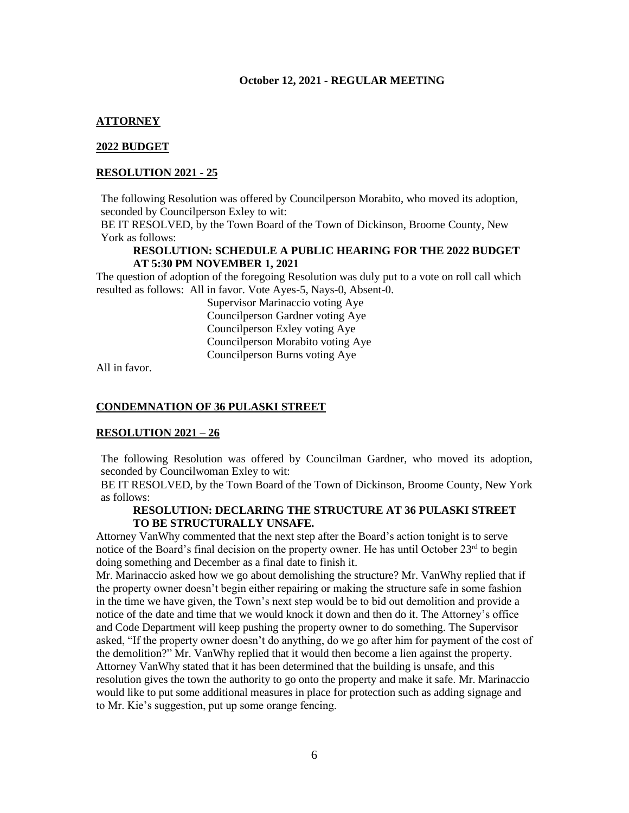## **ATTORNEY**

#### **2022 BUDGET**

#### **RESOLUTION 2021 - 25**

The following Resolution was offered by Councilperson Morabito, who moved its adoption, seconded by Councilperson Exley to wit:

BE IT RESOLVED, by the Town Board of the Town of Dickinson, Broome County, New York as follows:

## **RESOLUTION: SCHEDULE A PUBLIC HEARING FOR THE 2022 BUDGET AT 5:30 PM NOVEMBER 1, 2021**

The question of adoption of the foregoing Resolution was duly put to a vote on roll call which resulted as follows: All in favor. Vote Ayes-5, Nays-0, Absent-0.

> Supervisor Marinaccio voting Aye Councilperson Gardner voting Aye Councilperson Exley voting Aye Councilperson Morabito voting Aye Councilperson Burns voting Aye

All in favor.

## **CONDEMNATION OF 36 PULASKI STREET**

#### **RESOLUTION 2021 – 26**

The following Resolution was offered by Councilman Gardner, who moved its adoption, seconded by Councilwoman Exley to wit:

BE IT RESOLVED, by the Town Board of the Town of Dickinson, Broome County, New York as follows:

## **RESOLUTION: DECLARING THE STRUCTURE AT 36 PULASKI STREET TO BE STRUCTURALLY UNSAFE.**

Attorney VanWhy commented that the next step after the Board's action tonight is to serve notice of the Board's final decision on the property owner. He has until October 23<sup>rd</sup> to begin doing something and December as a final date to finish it.

Mr. Marinaccio asked how we go about demolishing the structure? Mr. VanWhy replied that if the property owner doesn't begin either repairing or making the structure safe in some fashion in the time we have given, the Town's next step would be to bid out demolition and provide a notice of the date and time that we would knock it down and then do it. The Attorney's office and Code Department will keep pushing the property owner to do something. The Supervisor asked, "If the property owner doesn't do anything, do we go after him for payment of the cost of the demolition?" Mr. VanWhy replied that it would then become a lien against the property. Attorney VanWhy stated that it has been determined that the building is unsafe, and this resolution gives the town the authority to go onto the property and make it safe. Mr. Marinaccio would like to put some additional measures in place for protection such as adding signage and to Mr. Kie's suggestion, put up some orange fencing.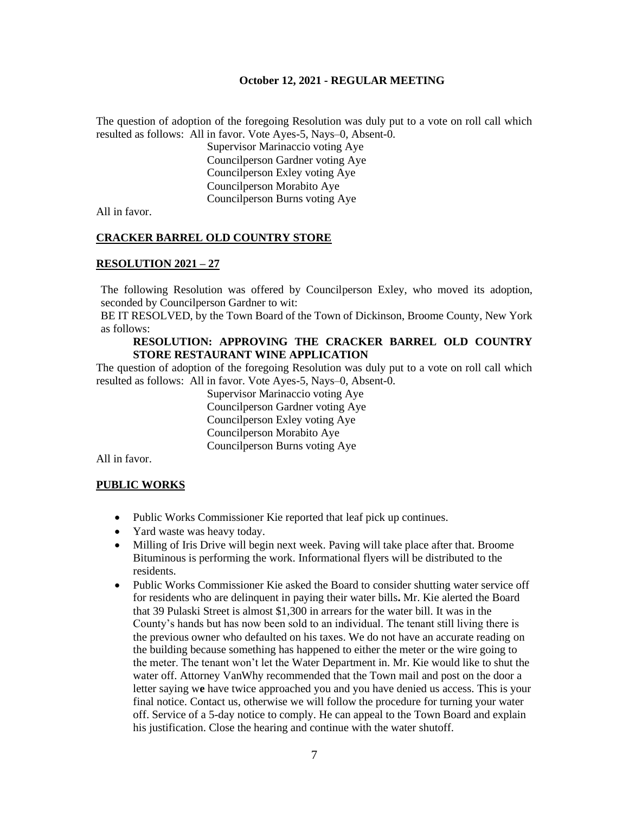The question of adoption of the foregoing Resolution was duly put to a vote on roll call which resulted as follows: All in favor. Vote Ayes-5, Nays–0, Absent-0.

Supervisor Marinaccio voting Aye Councilperson Gardner voting Aye Councilperson Exley voting Aye Councilperson Morabito Aye Councilperson Burns voting Aye

All in favor.

### **CRACKER BARREL OLD COUNTRY STORE**

#### **RESOLUTION 2021 – 27**

The following Resolution was offered by Councilperson Exley, who moved its adoption, seconded by Councilperson Gardner to wit:

BE IT RESOLVED, by the Town Board of the Town of Dickinson, Broome County, New York as follows:

# **RESOLUTION: APPROVING THE CRACKER BARREL OLD COUNTRY STORE RESTAURANT WINE APPLICATION**

The question of adoption of the foregoing Resolution was duly put to a vote on roll call which resulted as follows: All in favor. Vote Ayes-5, Nays–0, Absent-0.

> Supervisor Marinaccio voting Aye Councilperson Gardner voting Aye Councilperson Exley voting Aye Councilperson Morabito Aye Councilperson Burns voting Aye

All in favor.

### **PUBLIC WORKS**

- Public Works Commissioner Kie reported that leaf pick up continues.
- Yard waste was heavy today.
- Milling of Iris Drive will begin next week. Paving will take place after that. Broome Bituminous is performing the work. Informational flyers will be distributed to the residents.
- Public Works Commissioner Kie asked the Board to consider shutting water service off for residents who are delinquent in paying their water bills**.** Mr. Kie alerted the Board that 39 Pulaski Street is almost \$1,300 in arrears for the water bill. It was in the County's hands but has now been sold to an individual. The tenant still living there is the previous owner who defaulted on his taxes. We do not have an accurate reading on the building because something has happened to either the meter or the wire going to the meter. The tenant won't let the Water Department in. Mr. Kie would like to shut the water off. Attorney VanWhy recommended that the Town mail and post on the door a letter saying w**e** have twice approached you and you have denied us access. This is your final notice. Contact us, otherwise we will follow the procedure for turning your water off. Service of a 5-day notice to comply. He can appeal to the Town Board and explain his justification. Close the hearing and continue with the water shutoff.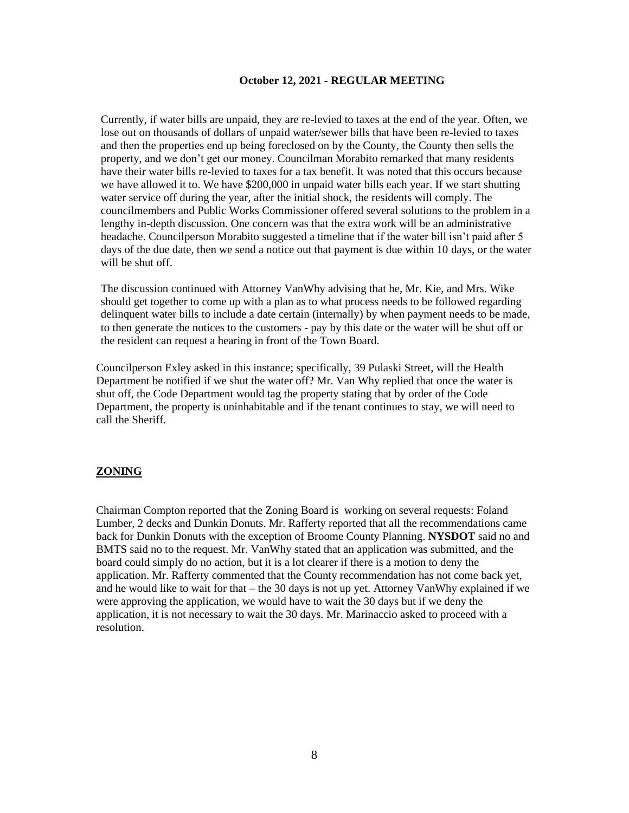Currently, if water bills are unpaid, they are re-levied to taxes at the end of the year. Often, we lose out on thousands of dollars of unpaid water/sewer bills that have been re-levied to taxes and then the properties end up being foreclosed on by the County, the County then sells the property, and we don't get our money. Councilman Morabito remarked that many residents have their water bills re-levied to taxes for a tax benefit. It was noted that this occurs because we have allowed it to. We have \$200,000 in unpaid water bills each year. If we start shutting water service off during the year, after the initial shock, the residents will comply. The councilmembers and Public Works Commissioner offered several solutions to the problem in a lengthy in-depth discussion. One concern was that the extra work will be an administrative headache. Councilperson Morabito suggested a timeline that if the water bill isn't paid after 5 days of the due date, then we send a notice out that payment is due within 10 days, or the water will be shut off.

The discussion continued with Attorney VanWhy advising that he, Mr. Kie, and Mrs. Wike should get together to come up with a plan as to what process needs to be followed regarding delinquent water bills to include a date certain (internally) by when payment needs to be made, to then generate the notices to the customers - pay by this date or the water will be shut off or the resident can request a hearing in front of the Town Board.

Councilperson Exley asked in this instance; specifically, 39 Pulaski Street, will the Health Department be notified if we shut the water off? Mr. Van Why replied that once the water is shut off, the Code Department would tag the property stating that by order of the Code Department, the property is uninhabitable and if the tenant continues to stay, we will need to call the Sheriff.

# **ZONING**

Chairman Compton reported that the Zoning Board is working on several requests: Foland Lumber, 2 decks and Dunkin Donuts. Mr. Rafferty reported that all the recommendations came back for Dunkin Donuts with the exception of Broome County Planning. **NYSDOT** said no and BMTS said no to the request. Mr. VanWhy stated that an application was submitted, and the board could simply do no action, but it is a lot clearer if there is a motion to deny the application. Mr. Rafferty commented that the County recommendation has not come back yet, and he would like to wait for that – the 30 days is not up yet. Attorney VanWhy explained if we were approving the application, we would have to wait the 30 days but if we deny the application, it is not necessary to wait the 30 days. Mr. Marinaccio asked to proceed with a resolution.